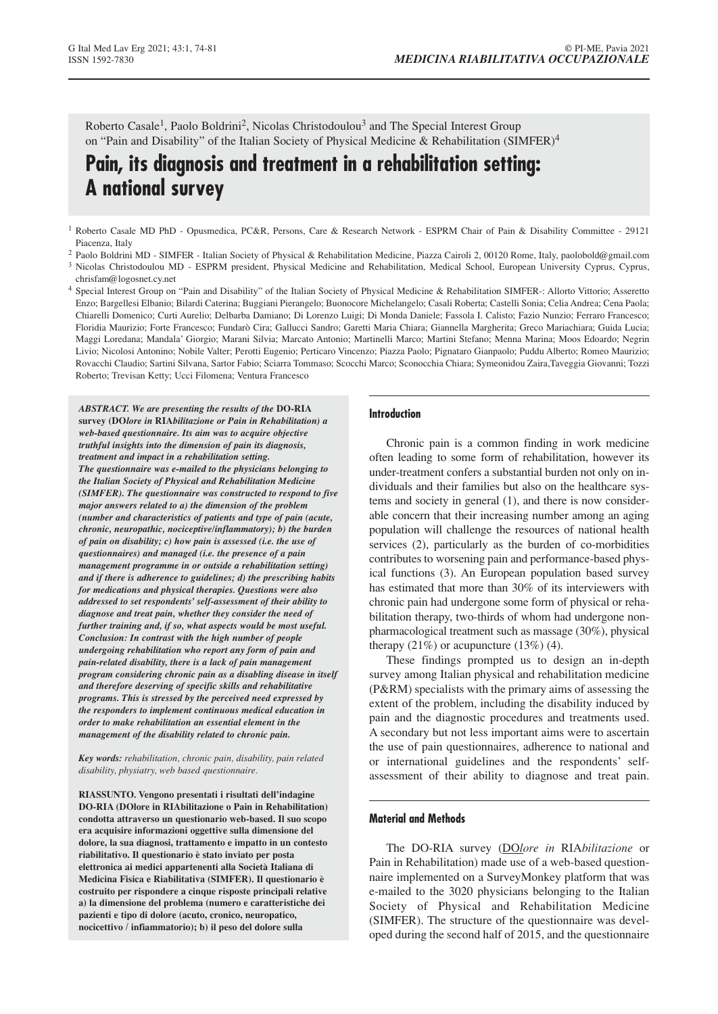Roberto Casale<sup>1</sup>, Paolo Boldrini<sup>2</sup>, Nicolas Christodoulou<sup>3</sup> and The Special Interest Group on "Pain and Disability" of the Italian Society of Physical Medicine & Rehabilitation (SIMFER)<sup>4</sup>

# **Pain, its diagnosis and treatment in a rehabilitation setting: A national survey**

- <sup>1</sup> Roberto Casale MD PhD Opusmedica, PC&R, Persons, Care & Research Network ESPRM Chair of Pain & Disability Committee 29121 Piacenza, Italy
- <sup>2</sup> Paolo Boldrini MD SIMFER Italian Society of Physical & Rehabilitation Medicine, Piazza Cairoli 2, 00120 Rome, Italy, paolobold@gmail.com
- <sup>3</sup> Nicolas Christodoulou MD ESPRM president, Physical Medicine and Rehabilitation, Medical School, European University Cyprus, Cyprus, chrisfam@logosnet.cy.net
- <sup>4</sup> Special Interest Group on "Pain and Disability" of the Italian Society of Physical Medicine & Rehabilitation SIMFER-: Allorto Vittorio; Asseretto Enzo; Bargellesi Elbanio; Bilardi Caterina; Buggiani Pierangelo; Buonocore Michelangelo; Casali Roberta; Castelli Sonia; Celia Andrea; Cena Paola; Chiarelli Domenico; Curti Aurelio; Delbarba Damiano; Di Lorenzo Luigi; Di Monda Daniele; Fassola I. Calisto; Fazio Nunzio; Ferraro Francesco; Floridia Maurizio; Forte Francesco; Fundarò Cira; Gallucci Sandro; Garetti Maria Chiara; Giannella Margherita; Greco Mariachiara; Guida Lucia; Maggi Loredana; Mandala' Giorgio; Marani Silvia; Marcato Antonio; Martinelli Marco; Martini Stefano; Menna Marina; Moos Edoardo; Negrin Livio; Nicolosi Antonino; Nobile Valter; Perotti Eugenio; Perticaro Vincenzo; Piazza Paolo; Pignataro Gianpaolo; Puddu Alberto; Romeo Maurizio; Rovacchi Claudio; Sartini Silvana, Sartor Fabio; Sciarra Tommaso; Scocchi Marco; Sconocchia Chiara; Symeonidou Zaira,Taveggia Giovanni; Tozzi Roberto; Trevisan Ketty; Ucci Filomena; Ventura Francesco

*ABSTRACT. We are presenting the results of the* **DO-RIA survey (DO***lore in* **RIA***bilitazione or Pain in Rehabilitation) a web-based questionnaire. Its aim was to acquire objective truthful insights into the dimension of pain its diagnosis, treatment and impact in a rehabilitation setting. The questionnaire was e-mailed to the physicians belonging to the Italian Society of Physical and Rehabilitation Medicine (SIMFER). The questionnaire was constructed to respond to five major answers related to a) the dimension of the problem (number and characteristics of patients and type of pain (acute, chronic, neuropathic, nociceptive/inflammatory); b) the burden of pain on disability; c) how pain is assessed (i.e. the use of questionnaires) and managed (i.e. the presence of a pain management programme in or outside a rehabilitation setting) and if there is adherence to guidelines; d) the prescribing habits for medications and physical therapies. Questions were also addressed to set respondents' self-assessment of their ability to diagnose and treat pain, whether they consider the need of further training and, if so, what aspects would be most useful. Conclusion: In contrast with the high number of people undergoing rehabilitation who report any form of pain and pain-related disability, there is a lack of pain management program considering chronic pain as a disabling disease in itself and therefore deserving of specific skills and rehabilitative programs. This is stressed by the perceived need expressed by the responders to implement continuous medical education in order to make rehabilitation an essential element in the management of the disability related to chronic pain.*

*Key words: rehabilitation, chronic pain, disability, pain related disability, physiatry, web based questionnaire.*

**RIASSUNTO. Vengono presentati i risultati dell'indagine DO-RIA (DOlore in RIAbilitazione o Pain in Rehabilitation) condotta attraverso un questionario web-based. Il suo scopo era acquisire informazioni oggettive sulla dimensione del dolore, la sua diagnosi, trattamento e impatto in un contesto riabilitativo. Il questionario è stato inviato per posta elettronica ai medici appartenenti alla Società Italiana di Medicina Fisica e Riabilitativa (SIMFER). Il questionario è costruito per rispondere a cinque risposte principali relative a) la dimensione del problema (numero e caratteristiche dei pazienti e tipo di dolore (acuto, cronico, neuropatico, nocicettivo / infiammatorio); b) il peso del dolore sulla**

## **Introduction**

Chronic pain is a common finding in work medicine often leading to some form of rehabilitation, however its under-treatment confers a substantial burden not only on individuals and their families but also on the healthcare systems and society in general (1), and there is now considerable concern that their increasing number among an aging population will challenge the resources of national health services (2), particularly as the burden of co-morbidities contributes to worsening pain and performance-based physical functions (3). An European population based survey has estimated that more than 30% of its interviewers with chronic pain had undergone some form of physical or rehabilitation therapy, two-thirds of whom had undergone nonpharmacological treatment such as massage (30%), physical therapy  $(21\%)$  or acupuncture  $(13\%)$  (4).

These findings prompted us to design an in-depth survey among Italian physical and rehabilitation medicine (P&RM) specialists with the primary aims of assessing the extent of the problem, including the disability induced by pain and the diagnostic procedures and treatments used. A secondary but not less important aims were to ascertain the use of pain questionnaires, adherence to national and or international guidelines and the respondents' selfassessment of their ability to diagnose and treat pain.

## **Material and Methods**

The DO-RIA survey (DO*lore in* RIA*bilitazione* or Pain in Rehabilitation) made use of a web-based questionnaire implemented on a SurveyMonkey platform that was e-mailed to the 3020 physicians belonging to the Italian Society of Physical and Rehabilitation Medicine (SIMFER). The structure of the questionnaire was developed during the second half of 2015, and the questionnaire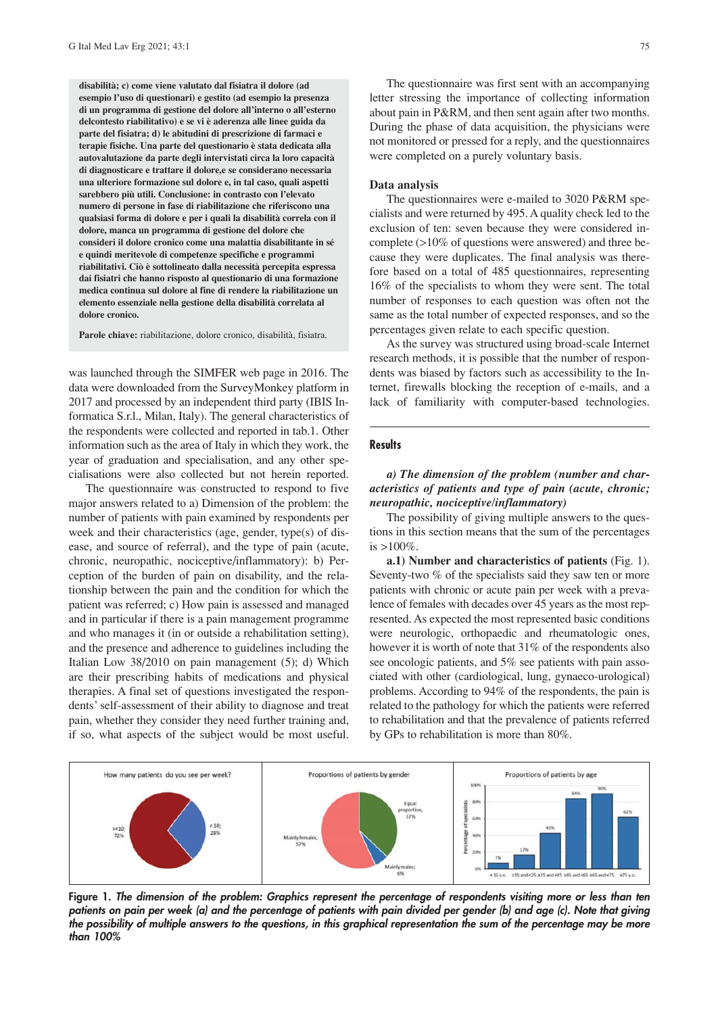**disabilità; c) come viene valutato dal fisiatra il dolore (ad esempio l'uso di questionari) e gestito (ad esempio la presenza di un programma di gestione del dolore all'interno o all'esterno delcontesto riabilitativo) e se vi è aderenza alle linee guida da parte del fisiatra; d) le abitudini di prescrizione di farmaci e terapie fisiche. Una parte del questionario è stata dedicata alla autovalutazione da parte degli intervistati circa la loro capacità di diagnosticare e trattare il dolore,e se considerano necessaria una ulteriore formazione sul dolore e, in tal caso, quali aspetti sarebbero più utili. Conclusione: in contrasto con l'elevato numero di persone in fase di riabilitazione che riferiscono una qualsiasi forma di dolore e per i quali la disabilità correla con il dolore, manca un programma di gestione del dolore che consideri il dolore cronico come una malattia disabilitante in sé e quindi meritevole di competenze specifiche e programmi riabilitativi. Ciò è sottolineato dalla necessità percepita espressa dai fisiatri che hanno risposto al questionario di una formazione medica continua sul dolore al fine di rendere la riabilitazione un elemento essenziale nella gestione della disabilità correlata al dolore cronico.**

**Parole chiave:** riabilitazione, dolore cronico, disabilità, fisiatra.

was launched through the SIMFER web page in 2016. The data were downloaded from the SurveyMonkey platform in 2017 and processed by an independent third party (IBIS Informatica S.r.l., Milan, Italy). The general characteristics of the respondents were collected and reported in tab.1. Other information such as the area of Italy in which they work, the year of graduation and specialisation, and any other specialisations were also collected but not herein reported.

The questionnaire was constructed to respond to five major answers related to a) Dimension of the problem: the number of patients with pain examined by respondents per week and their characteristics (age, gender, type(s) of disease, and source of referral), and the type of pain (acute, chronic, neuropathic, nociceptive/inflammatory): b) Perception of the burden of pain on disability, and the relationship between the pain and the condition for which the patient was referred; c) How pain is assessed and managed and in particular if there is a pain management programme and who manages it (in or outside a rehabilitation setting), and the presence and adherence to guidelines including the Italian Low 38/2010 on pain management (5); d) Which are their prescribing habits of medications and physical therapies. A final set of questions investigated the respondents' self-assessment of their ability to diagnose and treat pain, whether they consider they need further training and, if so, what aspects of the subject would be most useful.

The questionnaire was first sent with an accompanying letter stressing the importance of collecting information about pain in P&RM, and then sent again after two months. During the phase of data acquisition, the physicians were not monitored or pressed for a reply, and the questionnaires were completed on a purely voluntary basis.

#### **Data analysis**

The questionnaires were e-mailed to 3020 P&RM specialists and were returned by 495. A quality check led to the exclusion of ten: seven because they were considered incomplete (>10% of questions were answered) and three because they were duplicates. The final analysis was therefore based on a total of 485 questionnaires, representing 16% of the specialists to whom they were sent. The total number of responses to each question was often not the same as the total number of expected responses, and so the percentages given relate to each specific question.

As the survey was structured using broad-scale Internet research methods, it is possible that the number of respondents was biased by factors such as accessibility to the Internet, firewalls blocking the reception of e-mails, and a lack of familiarity with computer-based technologies.

## **Results**

# *a) The dimension of the problem (number and characteristics of patients and type of pain (acute, chronic; neuropathic, nociceptive/inflammatory)*

The possibility of giving multiple answers to the questions in this section means that the sum of the percentages is  $>100\%$ .

**a.1) Number and characteristics of patients** (Fig. 1). Seventy-two % of the specialists said they saw ten or more patients with chronic or acute pain per week with a prevalence of females with decades over 45 years as the most represented. As expected the most represented basic conditions were neurologic, orthopaedic and rheumatologic ones, however it is worth of note that 31% of the respondents also see oncologic patients, and 5% see patients with pain associated with other (cardiological, lung, gynaeco-urological) problems. According to 94% of the respondents, the pain is related to the pathology for which the patients were referred to rehabilitation and that the prevalence of patients referred by GPs to rehabilitation is more than 80%.



**Figure 1.** *The dimension of the problem: Graphics represent the percentage of respondents visiting more or less than ten patients on pain per week (a) and the percentage of patients with pain divided per gender (b) and age (c). Note that giving the possibility of multiple answers to the questions, in this graphical representation the sum of the percentage may be more than 100%*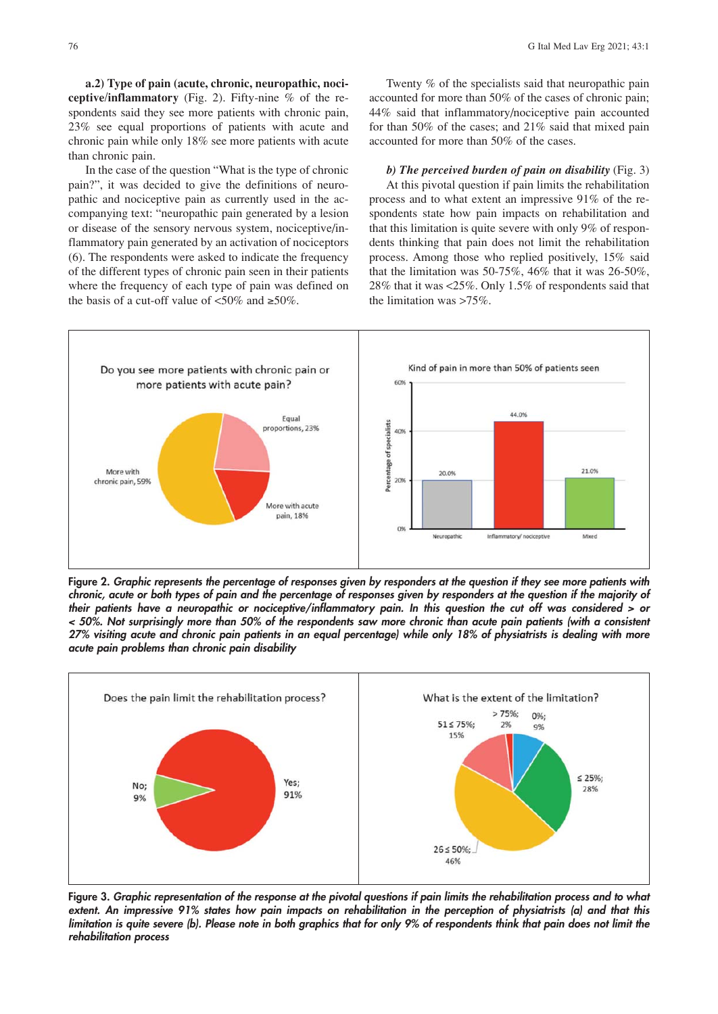**a.2) Type of pain (acute, chronic, neuropathic, nociceptive/inflammatory** (Fig. 2). Fifty-nine % of the respondents said they see more patients with chronic pain, 23% see equal proportions of patients with acute and chronic pain while only 18% see more patients with acute than chronic pain.

In the case of the question "What is the type of chronic pain?", it was decided to give the definitions of neuropathic and nociceptive pain as currently used in the accompanying text: "neuropathic pain generated by a lesion or disease of the sensory nervous system, nociceptive/inflammatory pain generated by an activation of nociceptors (6). The respondents were asked to indicate the frequency of the different types of chronic pain seen in their patients where the frequency of each type of pain was defined on the basis of a cut-off value of  $\langle 50\% \rangle$  and  $\geq 50\%$ .

Twenty % of the specialists said that neuropathic pain accounted for more than 50% of the cases of chronic pain; 44% said that inflammatory/nociceptive pain accounted for than 50% of the cases; and 21% said that mixed pain accounted for more than 50% of the cases.

*b) The perceived burden of pain on disability* (Fig. 3) At this pivotal question if pain limits the rehabilitation process and to what extent an impressive 91% of the respondents state how pain impacts on rehabilitation and that this limitation is quite severe with only 9% of respondents thinking that pain does not limit the rehabilitation process. Among those who replied positively, 15% said that the limitation was 50-75%, 46% that it was 26-50%, 28% that it was <25%. Only 1.5% of respondents said that the limitation was >75%.



**Figure 2.** *Graphic represents the percentage of responses given by responders at the question if they see more patients with chronic, acute or both types of pain and the percentage of responses given by responders at the question if the majority of their patients have a neuropathic or nociceptive/inflammatory pain. In this question the cut off was considered > or < 50%. Not surprisingly more than 50% of the respondents saw more chronic than acute pain patients (with a consistent 27% visiting acute and chronic pain patients in an equal percentage) while only 18% of physiatrists is dealing with more acute pain problems than chronic pain disability*



**Figure 3.** *Graphic representation of the response at the pivotal questions if pain limits the rehabilitation process and to what extent. An impressive 91% states how pain impacts on rehabilitation in the perception of physiatrists (a) and that this limitation is quite severe (b). Please note in both graphics that for only 9% of respondents think that pain does not limit the rehabilitation process*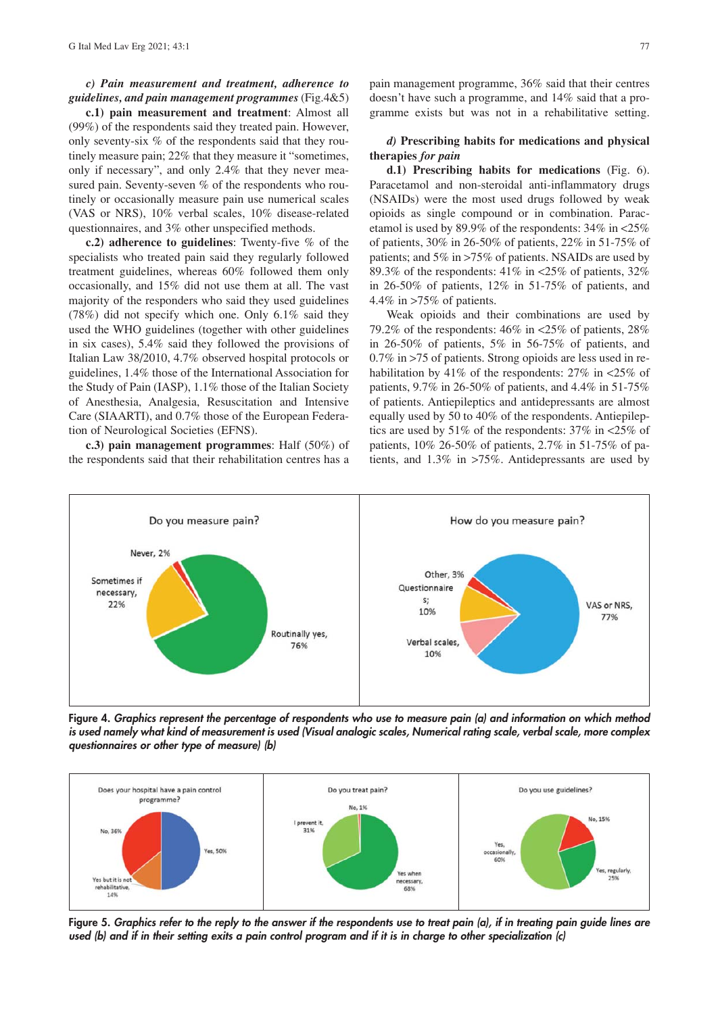### *c) Pain measurement and treatment, adherence to guidelines, and pain management programmes* (Fig.4&5)

**c.1) pain measurement and treatment**: Almost all (99%) of the respondents said they treated pain. However, only seventy-six % of the respondents said that they routinely measure pain; 22% that they measure it "sometimes, only if necessary", and only 2.4% that they never measured pain. Seventy-seven % of the respondents who routinely or occasionally measure pain use numerical scales (VAS or NRS), 10% verbal scales, 10% disease-related questionnaires, and 3% other unspecified methods.

**c.2) adherence to guidelines**: Twenty-five % of the specialists who treated pain said they regularly followed treatment guidelines, whereas 60% followed them only occasionally, and 15% did not use them at all. The vast majority of the responders who said they used guidelines (78%) did not specify which one. Only 6.1% said they used the WHO guidelines (together with other guidelines in six cases), 5.4% said they followed the provisions of Italian Law 38/2010, 4.7% observed hospital protocols or guidelines, 1.4% those of the International Association for the Study of Pain (IASP), 1.1% those of the Italian Society of Anesthesia, Analgesia, Resuscitation and Intensive Care (SIAARTI), and 0.7% those of the European Federation of Neurological Societies (EFNS).

**c.3) pain management programmes**: Half (50%) of the respondents said that their rehabilitation centres has a pain management programme, 36% said that their centres doesn't have such a programme, and 14% said that a programme exists but was not in a rehabilitative setting.

## *d)* **Prescribing habits for medications and physical therapies** *for pain*

**d.1) Prescribing habits for medications** (Fig. 6). Paracetamol and non-steroidal anti-inflammatory drugs (NSAIDs) were the most used drugs followed by weak opioids as single compound or in combination. Paracetamol is used by 89.9% of the respondents: 34% in <25% of patients, 30% in 26-50% of patients, 22% in 51-75% of patients; and 5% in >75% of patients. NSAIDs are used by 89.3% of the respondents:  $41\%$  in <25% of patients, 32% in 26-50% of patients, 12% in 51-75% of patients, and 4.4% in >75% of patients.

Weak opioids and their combinations are used by 79.2% of the respondents:  $46\%$  in <25% of patients, 28% in 26-50% of patients, 5% in 56-75% of patients, and 0.7% in >75 of patients. Strong opioids are less used in rehabilitation by 41% of the respondents: 27% in <25% of patients, 9.7% in 26-50% of patients, and 4.4% in 51-75% of patients. Antiepileptics and antidepressants are almost equally used by 50 to 40% of the respondents. Antiepileptics are used by 51% of the respondents: 37% in <25% of patients, 10% 26-50% of patients, 2.7% in 51-75% of patients, and 1.3% in >75%. Antidepressants are used by



**Figure 4.** *Graphics represent the percentage of respondents who use to measure pain (a) and information on which method is used namely what kind of measurement is used (Visual analogic scales, Numerical rating scale, verbal scale, more complex questionnaires or other type of measure) (b)*



**Figure 5.** *Graphics refer to the reply to the answer if the respondents use to treat pain (a), if in treating pain guide lines are used (b) and if in their setting exits a pain control program and if it is in charge to other specialization (c)*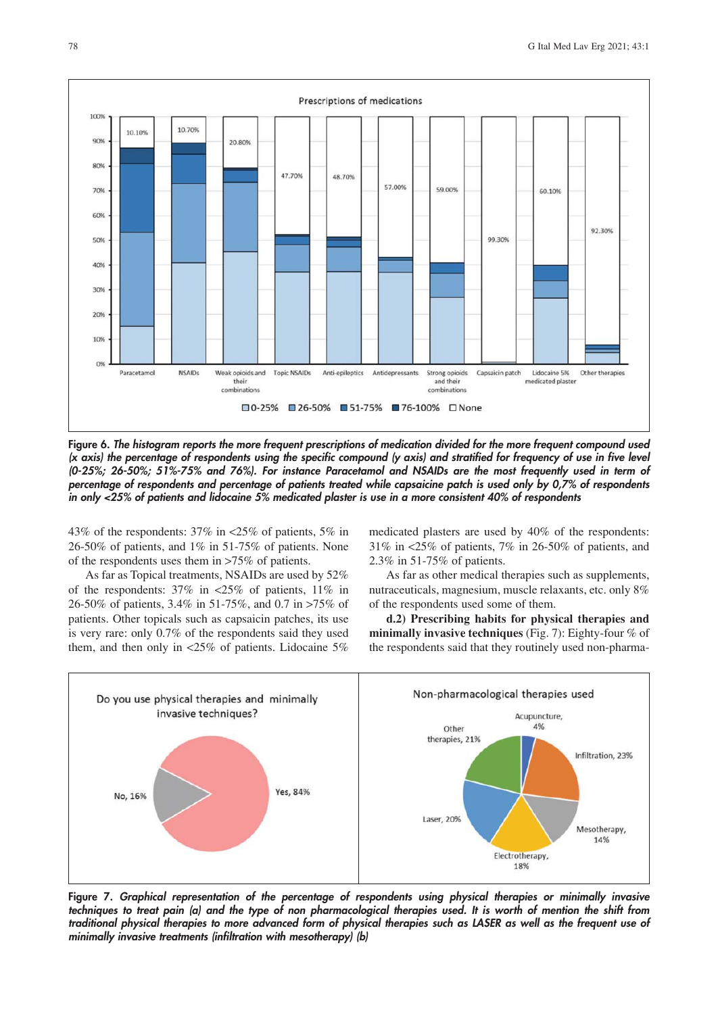

**Figure 6.** *The histogram reports the more frequent prescriptions of medication divided for the more frequent compound used (x axis) the percentage of respondents using the specific compound (y axis) and stratified for frequency of use in five level (0-25%; 26-50%; 51%-75% and 76%). For instance Paracetamol and NSAIDs are the most frequently used in term of percentage of respondents and percentage of patients treated while capsaicine patch is used only by 0,7% of respondents in only <25% of patients and lidocaine 5% medicated plaster is use in a more consistent 40% of respondents*

43% of the respondents: 37% in <25% of patients, 5% in 26-50% of patients, and 1% in 51-75% of patients. None of the respondents uses them in >75% of patients.

As far as Topical treatments, NSAIDs are used by 52% of the respondents: 37% in <25% of patients, 11% in 26-50% of patients, 3.4% in 51-75%, and 0.7 in >75% of patients. Other topicals such as capsaicin patches, its use is very rare: only 0.7% of the respondents said they used them, and then only in <25% of patients. Lidocaine 5% medicated plasters are used by 40% of the respondents: 31% in <25% of patients, 7% in 26-50% of patients, and 2.3% in 51-75% of patients.

As far as other medical therapies such as supplements, nutraceuticals, magnesium, muscle relaxants, etc. only 8% of the respondents used some of them.

**d.2) Prescribing habits for physical therapies and minimally invasive techniques** (Fig. 7): Eighty-four % of the respondents said that they routinely used non-pharma-



**Figure 7.** *Graphical representation of the percentage of respondents using physical therapies or minimally invasive techniques to treat pain (a) and the type of non pharmacological therapies used. It is worth of mention the shift from traditional physical therapies to more advanced form of physical therapies such as LASER as well as the frequent use of minimally invasive treatments (infiltration with mesotherapy) (b)*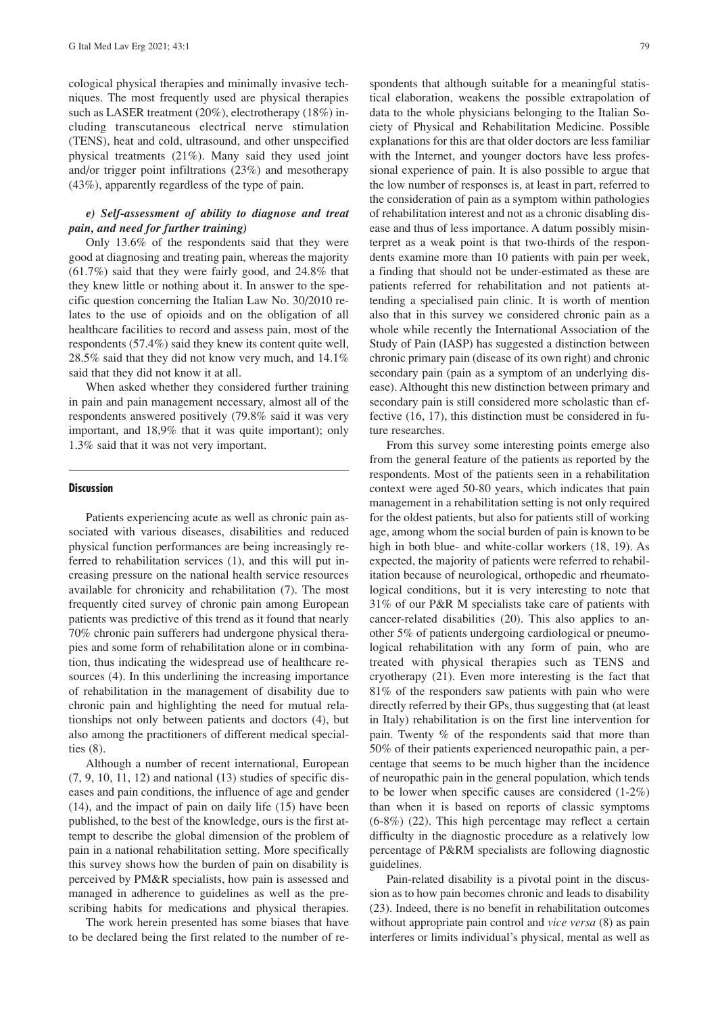cological physical therapies and minimally invasive techniques. The most frequently used are physical therapies such as LASER treatment (20%), electrotherapy (18%) including transcutaneous electrical nerve stimulation (TENS), heat and cold, ultrasound, and other unspecified physical treatments (21%). Many said they used joint and/or trigger point infiltrations (23%) and mesotherapy (43%), apparently regardless of the type of pain.

## *e) Self-assessment of ability to diagnose and treat pain, and need for further training)*

Only 13.6% of the respondents said that they were good at diagnosing and treating pain, whereas the majority (61.7%) said that they were fairly good, and 24.8% that they knew little or nothing about it. In answer to the specific question concerning the Italian Law No. 30/2010 relates to the use of opioids and on the obligation of all healthcare facilities to record and assess pain, most of the respondents (57.4%) said they knew its content quite well, 28.5% said that they did not know very much, and 14.1% said that they did not know it at all.

When asked whether they considered further training in pain and pain management necessary, almost all of the respondents answered positively (79.8% said it was very important, and 18,9% that it was quite important); only 1.3% said that it was not very important.

#### **Discussion**

Patients experiencing acute as well as chronic pain associated with various diseases, disabilities and reduced physical function performances are being increasingly referred to rehabilitation services (1), and this will put increasing pressure on the national health service resources available for chronicity and rehabilitation (7). The most frequently cited survey of chronic pain among European patients was predictive of this trend as it found that nearly 70% chronic pain sufferers had undergone physical therapies and some form of rehabilitation alone or in combination, thus indicating the widespread use of healthcare resources (4). In this underlining the increasing importance of rehabilitation in the management of disability due to chronic pain and highlighting the need for mutual relationships not only between patients and doctors (4), but also among the practitioners of different medical specialties (8).

Although a number of recent international, European (7, 9, 10, 11, 12) and national **(**13) studies of specific diseases and pain conditions, the influence of age and gender (14), and the impact of pain on daily life (15) have been published, to the best of the knowledge, ours is the first attempt to describe the global dimension of the problem of pain in a national rehabilitation setting. More specifically this survey shows how the burden of pain on disability is perceived by PM&R specialists, how pain is assessed and managed in adherence to guidelines as well as the prescribing habits for medications and physical therapies.

The work herein presented has some biases that have to be declared being the first related to the number of respondents that although suitable for a meaningful statistical elaboration, weakens the possible extrapolation of data to the whole physicians belonging to the Italian Society of Physical and Rehabilitation Medicine. Possible explanations for this are that older doctors are less familiar with the Internet, and younger doctors have less professional experience of pain. It is also possible to argue that the low number of responses is, at least in part, referred to the consideration of pain as a symptom within pathologies of rehabilitation interest and not as a chronic disabling disease and thus of less importance. A datum possibly misinterpret as a weak point is that two-thirds of the respondents examine more than 10 patients with pain per week, a finding that should not be under-estimated as these are patients referred for rehabilitation and not patients attending a specialised pain clinic. It is worth of mention also that in this survey we considered chronic pain as a whole while recently the International Association of the Study of Pain (IASP) has suggested a distinction between chronic primary pain (disease of its own right) and chronic secondary pain (pain as a symptom of an underlying disease). Althought this new distinction between primary and secondary pain is still considered more scholastic than effective (16, 17), this distinction must be considered in future researches.

From this survey some interesting points emerge also from the general feature of the patients as reported by the respondents. Most of the patients seen in a rehabilitation context were aged 50-80 years, which indicates that pain management in a rehabilitation setting is not only required for the oldest patients, but also for patients still of working age, among whom the social burden of pain is known to be high in both blue- and white-collar workers (18, 19). As expected, the majority of patients were referred to rehabilitation because of neurological, orthopedic and rheumatological conditions, but it is very interesting to note that 31% of our P&R M specialists take care of patients with cancer-related disabilities (20). This also applies to another 5% of patients undergoing cardiological or pneumological rehabilitation with any form of pain, who are treated with physical therapies such as TENS and cryotherapy (21). Even more interesting is the fact that 81% of the responders saw patients with pain who were directly referred by their GPs, thus suggesting that (at least in Italy) rehabilitation is on the first line intervention for pain. Twenty % of the respondents said that more than 50% of their patients experienced neuropathic pain, a percentage that seems to be much higher than the incidence of neuropathic pain in the general population, which tends to be lower when specific causes are considered (1-2%) than when it is based on reports of classic symptoms (6-8%) (22). This high percentage may reflect a certain difficulty in the diagnostic procedure as a relatively low percentage of P&RM specialists are following diagnostic guidelines.

Pain-related disability is a pivotal point in the discussion as to how pain becomes chronic and leads to disability (23). Indeed, there is no benefit in rehabilitation outcomes without appropriate pain control and *vice versa* (8) as pain interferes or limits individual's physical, mental as well as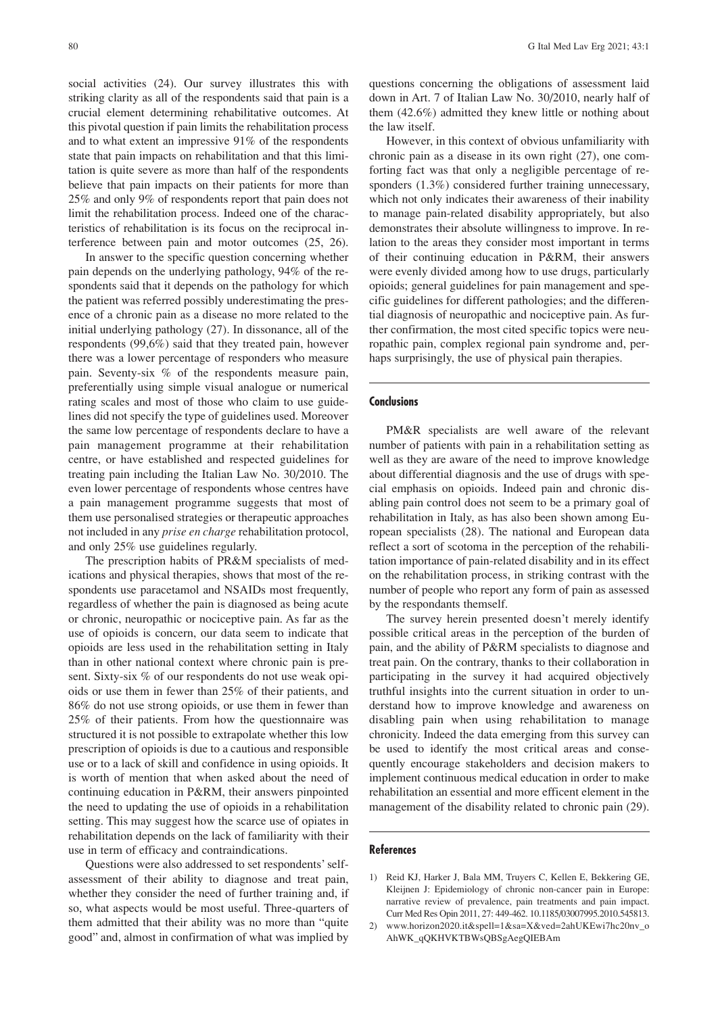social activities (24). Our survey illustrates this with striking clarity as all of the respondents said that pain is a crucial element determining rehabilitative outcomes. At this pivotal question if pain limits the rehabilitation process and to what extent an impressive 91% of the respondents state that pain impacts on rehabilitation and that this limitation is quite severe as more than half of the respondents believe that pain impacts on their patients for more than 25% and only 9% of respondents report that pain does not limit the rehabilitation process. Indeed one of the characteristics of rehabilitation is its focus on the reciprocal interference between pain and motor outcomes (25, 26).

In answer to the specific question concerning whether pain depends on the underlying pathology, 94% of the respondents said that it depends on the pathology for which the patient was referred possibly underestimating the presence of a chronic pain as a disease no more related to the initial underlying pathology (27). In dissonance, all of the respondents (99,6%) said that they treated pain, however there was a lower percentage of responders who measure pain. Seventy-six % of the respondents measure pain, preferentially using simple visual analogue or numerical rating scales and most of those who claim to use guidelines did not specify the type of guidelines used. Moreover the same low percentage of respondents declare to have a pain management programme at their rehabilitation centre, or have established and respected guidelines for treating pain including the Italian Law No. 30/2010. The even lower percentage of respondents whose centres have a pain management programme suggests that most of them use personalised strategies or therapeutic approaches not included in any *prise en charge* rehabilitation protocol, and only 25% use guidelines regularly.

The prescription habits of PR&M specialists of medications and physical therapies, shows that most of the respondents use paracetamol and NSAIDs most frequently, regardless of whether the pain is diagnosed as being acute or chronic, neuropathic or nociceptive pain. As far as the use of opioids is concern, our data seem to indicate that opioids are less used in the rehabilitation setting in Italy than in other national context where chronic pain is present. Sixty-six % of our respondents do not use weak opioids or use them in fewer than 25% of their patients, and 86% do not use strong opioids, or use them in fewer than 25% of their patients. From how the questionnaire was structured it is not possible to extrapolate whether this low prescription of opioids is due to a cautious and responsible use or to a lack of skill and confidence in using opioids. It is worth of mention that when asked about the need of continuing education in P&RM, their answers pinpointed the need to updating the use of opioids in a rehabilitation setting. This may suggest how the scarce use of opiates in rehabilitation depends on the lack of familiarity with their use in term of efficacy and contraindications.

Questions were also addressed to set respondents' selfassessment of their ability to diagnose and treat pain, whether they consider the need of further training and, if so, what aspects would be most useful. Three-quarters of them admitted that their ability was no more than "quite good" and, almost in confirmation of what was implied by questions concerning the obligations of assessment laid down in Art. 7 of Italian Law No. 30/2010, nearly half of them (42.6%) admitted they knew little or nothing about the law itself.

However, in this context of obvious unfamiliarity with chronic pain as a disease in its own right (27), one comforting fact was that only a negligible percentage of responders  $(1.3\%)$  considered further training unnecessary, which not only indicates their awareness of their inability to manage pain-related disability appropriately, but also demonstrates their absolute willingness to improve. In relation to the areas they consider most important in terms of their continuing education in P&RM, their answers were evenly divided among how to use drugs, particularly opioids; general guidelines for pain management and specific guidelines for different pathologies; and the differential diagnosis of neuropathic and nociceptive pain. As further confirmation, the most cited specific topics were neuropathic pain, complex regional pain syndrome and, perhaps surprisingly, the use of physical pain therapies.

#### **Conclusions**

PM&R specialists are well aware of the relevant number of patients with pain in a rehabilitation setting as well as they are aware of the need to improve knowledge about differential diagnosis and the use of drugs with special emphasis on opioids. Indeed pain and chronic disabling pain control does not seem to be a primary goal of rehabilitation in Italy, as has also been shown among European specialists (28). The national and European data reflect a sort of scotoma in the perception of the rehabilitation importance of pain-related disability and in its effect on the rehabilitation process, in striking contrast with the number of people who report any form of pain as assessed by the respondants themself.

The survey herein presented doesn't merely identify possible critical areas in the perception of the burden of pain, and the ability of P&RM specialists to diagnose and treat pain. On the contrary, thanks to their collaboration in participating in the survey it had acquired objectively truthful insights into the current situation in order to understand how to improve knowledge and awareness on disabling pain when using rehabilitation to manage chronicity. Indeed the data emerging from this survey can be used to identify the most critical areas and consequently encourage stakeholders and decision makers to implement continuous medical education in order to make rehabilitation an essential and more efficent element in the management of the disability related to chronic pain (29).

#### **References**

- 1) Reid KJ, Harker J, Bala MM, Truyers C, Kellen E, Bekkering GE, Kleijnen J: Epidemiology of chronic non-cancer pain in Europe: narrative review of prevalence, pain treatments and pain impact. Curr Med Res Opin 2011, 27: 449-462. 10.1185/03007995.2010.545813.
- 2) www.horizon2020.it&spell=1&sa=X&ved=2ahUKEwi7hc20nv\_o AhWK\_qQKHVKTBWsQBSgAegQIEBAm